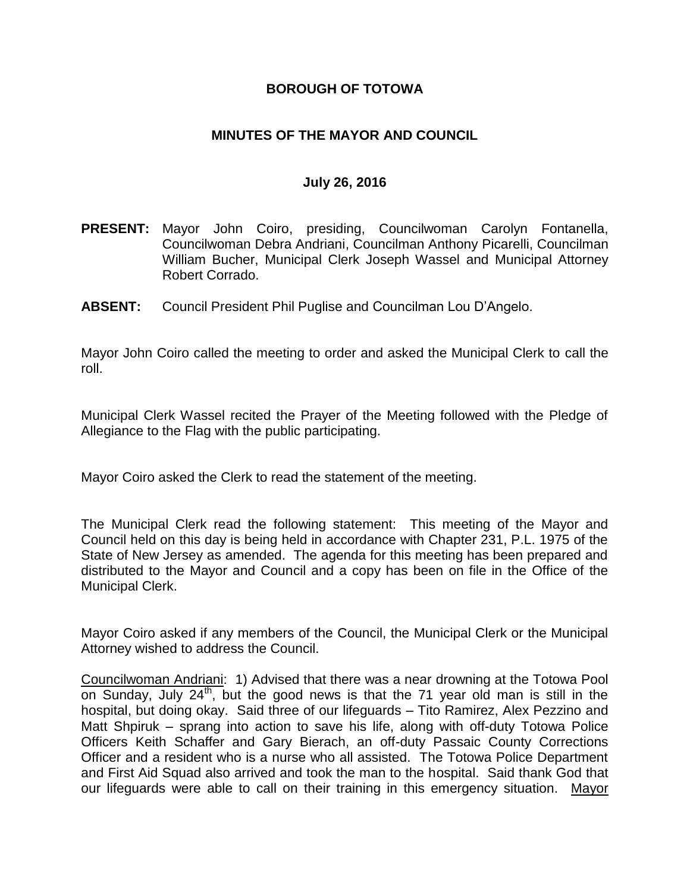## **BOROUGH OF TOTOWA**

## **MINUTES OF THE MAYOR AND COUNCIL**

#### **July 26, 2016**

- **PRESENT:** Mayor John Coiro, presiding, Councilwoman Carolyn Fontanella, Councilwoman Debra Andriani, Councilman Anthony Picarelli, Councilman William Bucher, Municipal Clerk Joseph Wassel and Municipal Attorney Robert Corrado.
- **ABSENT:** Council President Phil Puglise and Councilman Lou D'Angelo.

Mayor John Coiro called the meeting to order and asked the Municipal Clerk to call the roll.

Municipal Clerk Wassel recited the Prayer of the Meeting followed with the Pledge of Allegiance to the Flag with the public participating.

Mayor Coiro asked the Clerk to read the statement of the meeting.

The Municipal Clerk read the following statement: This meeting of the Mayor and Council held on this day is being held in accordance with Chapter 231, P.L. 1975 of the State of New Jersey as amended. The agenda for this meeting has been prepared and distributed to the Mayor and Council and a copy has been on file in the Office of the Municipal Clerk.

Mayor Coiro asked if any members of the Council, the Municipal Clerk or the Municipal Attorney wished to address the Council.

Councilwoman Andriani: 1) Advised that there was a near drowning at the Totowa Pool on Sunday, July  $24<sup>th</sup>$ , but the good news is that the 71 year old man is still in the hospital, but doing okay. Said three of our lifeguards – Tito Ramirez, Alex Pezzino and Matt Shpiruk – sprang into action to save his life, along with off-duty Totowa Police Officers Keith Schaffer and Gary Bierach, an off-duty Passaic County Corrections Officer and a resident who is a nurse who all assisted. The Totowa Police Department and First Aid Squad also arrived and took the man to the hospital. Said thank God that our lifeguards were able to call on their training in this emergency situation. Mayor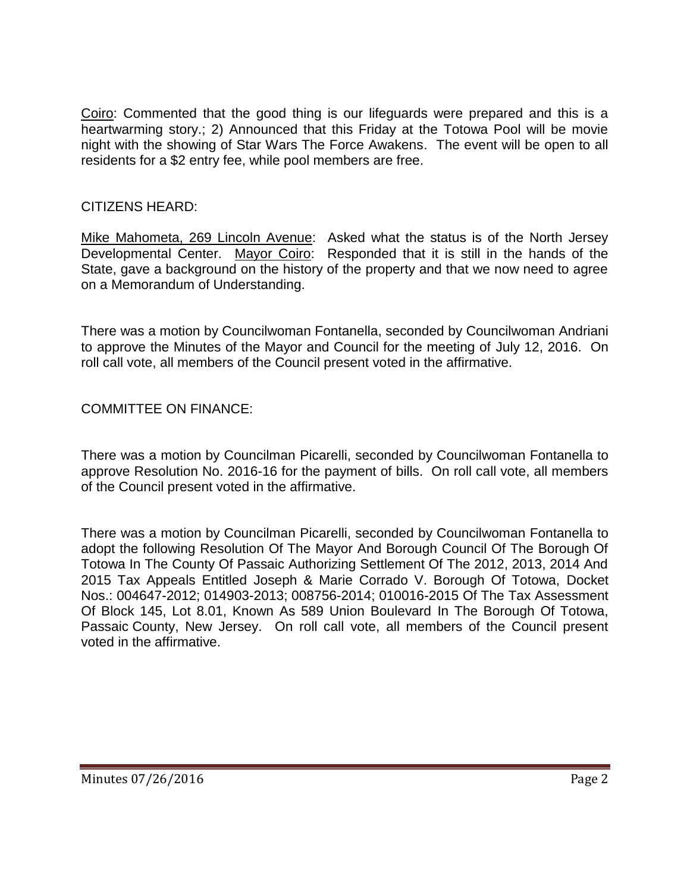Coiro: Commented that the good thing is our lifeguards were prepared and this is a heartwarming story.; 2) Announced that this Friday at the Totowa Pool will be movie night with the showing of Star Wars The Force Awakens. The event will be open to all residents for a \$2 entry fee, while pool members are free.

# CITIZENS HEARD:

Mike Mahometa, 269 Lincoln Avenue: Asked what the status is of the North Jersey Developmental Center. Mayor Coiro: Responded that it is still in the hands of the State, gave a background on the history of the property and that we now need to agree on a Memorandum of Understanding.

There was a motion by Councilwoman Fontanella, seconded by Councilwoman Andriani to approve the Minutes of the Mayor and Council for the meeting of July 12, 2016. On roll call vote, all members of the Council present voted in the affirmative.

# COMMITTEE ON FINANCE:

There was a motion by Councilman Picarelli, seconded by Councilwoman Fontanella to approve Resolution No. 2016-16 for the payment of bills. On roll call vote, all members of the Council present voted in the affirmative.

There was a motion by Councilman Picarelli, seconded by Councilwoman Fontanella to adopt the following Resolution Of The Mayor And Borough Council Of The Borough Of Totowa In The County Of Passaic Authorizing Settlement Of The 2012, 2013, 2014 And 2015 Tax Appeals Entitled Joseph & Marie Corrado V. Borough Of Totowa, Docket Nos.: 004647-2012; 014903-2013; 008756-2014; 010016-2015 Of The Tax Assessment Of Block 145, Lot 8.01, Known As 589 Union Boulevard In The Borough Of Totowa, Passaic County, New Jersey. On roll call vote, all members of the Council present voted in the affirmative.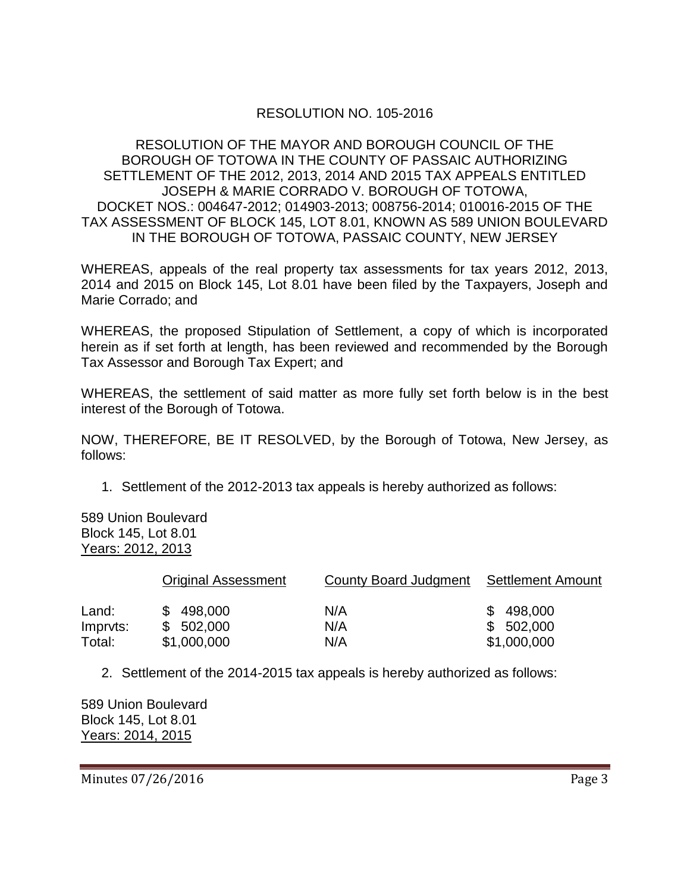# RESOLUTION NO. 105-2016

#### RESOLUTION OF THE MAYOR AND BOROUGH COUNCIL OF THE BOROUGH OF TOTOWA IN THE COUNTY OF PASSAIC AUTHORIZING SETTLEMENT OF THE 2012, 2013, 2014 AND 2015 TAX APPEALS ENTITLED JOSEPH & MARIE CORRADO V. BOROUGH OF TOTOWA, DOCKET NOS.: 004647-2012; 014903-2013; 008756-2014; 010016-2015 OF THE TAX ASSESSMENT OF BLOCK 145, LOT 8.01, KNOWN AS 589 UNION BOULEVARD IN THE BOROUGH OF TOTOWA, PASSAIC COUNTY, NEW JERSEY

WHEREAS, appeals of the real property tax assessments for tax years 2012, 2013, 2014 and 2015 on Block 145, Lot 8.01 have been filed by the Taxpayers, Joseph and Marie Corrado; and

WHEREAS, the proposed Stipulation of Settlement, a copy of which is incorporated herein as if set forth at length, has been reviewed and recommended by the Borough Tax Assessor and Borough Tax Expert; and

WHEREAS, the settlement of said matter as more fully set forth below is in the best interest of the Borough of Totowa.

NOW, THEREFORE, BE IT RESOLVED, by the Borough of Totowa, New Jersey, as follows:

1. Settlement of the 2012-2013 tax appeals is hereby authorized as follows:

589 Union Boulevard Block 145, Lot 8.01 Years: 2012, 2013

|          | <b>Original Assessment</b> | County Board Judgment | Settlement Amount |
|----------|----------------------------|-----------------------|-------------------|
| Land:    | \$498,000                  | N/A                   | \$498,000         |
| Imprvts: | \$502,000                  | N/A                   | \$502,000         |
| Total:   | \$1,000,000                | N/A                   | \$1,000,000       |

2. Settlement of the 2014-2015 tax appeals is hereby authorized as follows:

589 Union Boulevard Block 145, Lot 8.01 Years: 2014, 2015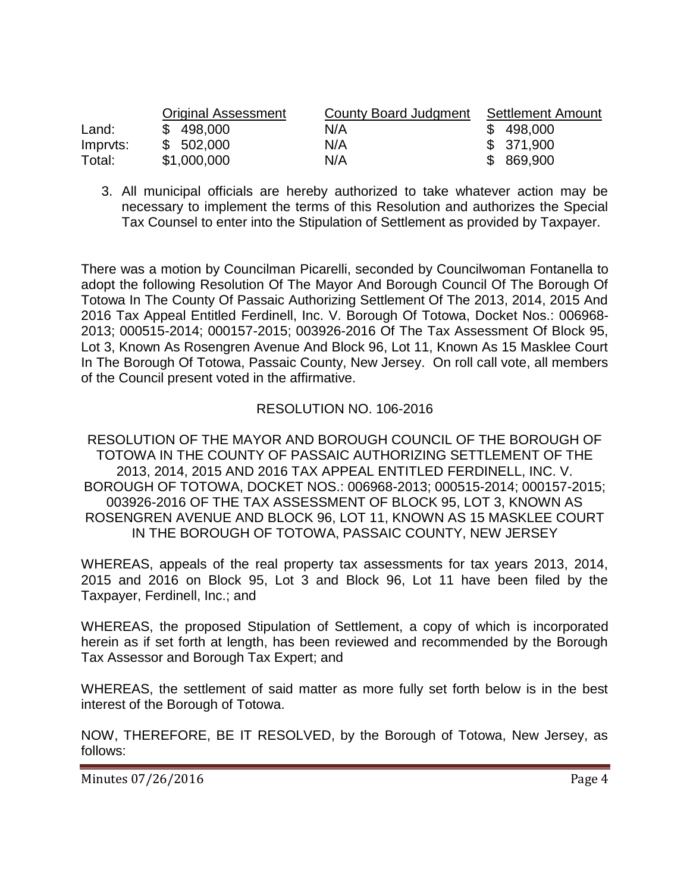|          | <b>Original Assessment</b> | County Board Judgment | <b>Settlement Amount</b> |
|----------|----------------------------|-----------------------|--------------------------|
| Land:    | \$498,000                  | N/A                   | \$498,000                |
| Impryts: | \$502,000                  | N/A                   | \$ 371,900               |
| Total:   | \$1,000,000                | N/A                   | \$ 869,900               |

3. All municipal officials are hereby authorized to take whatever action may be necessary to implement the terms of this Resolution and authorizes the Special Tax Counsel to enter into the Stipulation of Settlement as provided by Taxpayer.

There was a motion by Councilman Picarelli, seconded by Councilwoman Fontanella to adopt the following Resolution Of The Mayor And Borough Council Of The Borough Of Totowa In The County Of Passaic Authorizing Settlement Of The 2013, 2014, 2015 And 2016 Tax Appeal Entitled Ferdinell, Inc. V. Borough Of Totowa, Docket Nos.: 006968- 2013; 000515-2014; 000157-2015; 003926-2016 Of The Tax Assessment Of Block 95, Lot 3, Known As Rosengren Avenue And Block 96, Lot 11, Known As 15 Masklee Court In The Borough Of Totowa, Passaic County, New Jersey. On roll call vote, all members of the Council present voted in the affirmative.

# RESOLUTION NO. 106-2016

RESOLUTION OF THE MAYOR AND BOROUGH COUNCIL OF THE BOROUGH OF TOTOWA IN THE COUNTY OF PASSAIC AUTHORIZING SETTLEMENT OF THE 2013, 2014, 2015 AND 2016 TAX APPEAL ENTITLED FERDINELL, INC. V. BOROUGH OF TOTOWA, DOCKET NOS.: 006968-2013; 000515-2014; 000157-2015; 003926-2016 OF THE TAX ASSESSMENT OF BLOCK 95, LOT 3, KNOWN AS ROSENGREN AVENUE AND BLOCK 96, LOT 11, KNOWN AS 15 MASKLEE COURT IN THE BOROUGH OF TOTOWA, PASSAIC COUNTY, NEW JERSEY

WHEREAS, appeals of the real property tax assessments for tax years 2013, 2014, 2015 and 2016 on Block 95, Lot 3 and Block 96, Lot 11 have been filed by the Taxpayer, Ferdinell, Inc.; and

WHEREAS, the proposed Stipulation of Settlement, a copy of which is incorporated herein as if set forth at length, has been reviewed and recommended by the Borough Tax Assessor and Borough Tax Expert; and

WHEREAS, the settlement of said matter as more fully set forth below is in the best interest of the Borough of Totowa.

NOW, THEREFORE, BE IT RESOLVED, by the Borough of Totowa, New Jersey, as follows: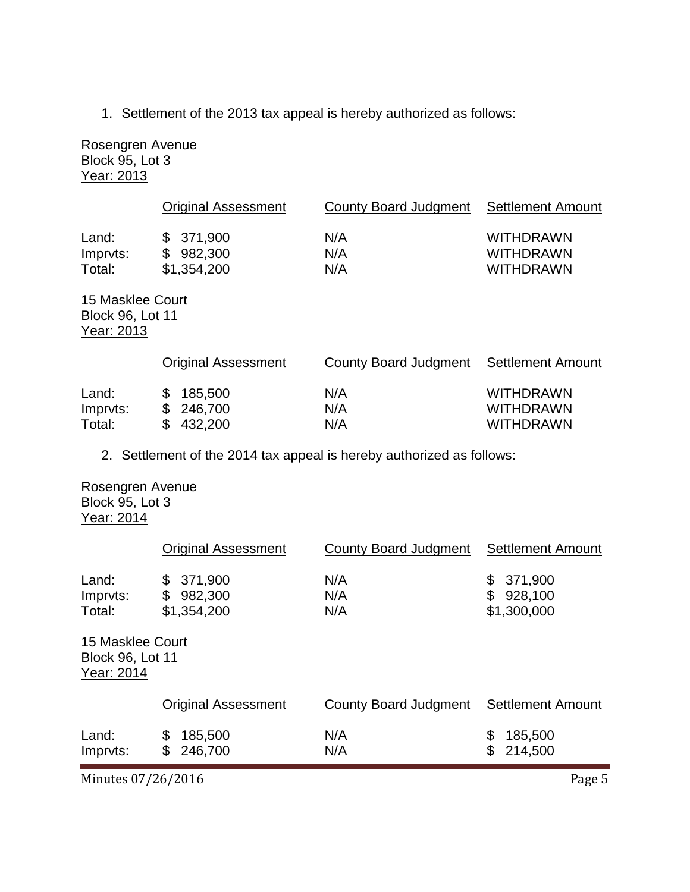1. Settlement of the 2013 tax appeal is hereby authorized as follows:

Rosengren Avenue Block 95, Lot 3 Year: 2013

|          | <b>Original Assessment</b> | County Board Judgment | Settlement Amount |
|----------|----------------------------|-----------------------|-------------------|
| Land:    | \$371.900                  | N/A                   | <b>WITHDRAWN</b>  |
| Imprvts: | \$982,300                  | N/A                   | <b>WITHDRAWN</b>  |
| Total:   | \$1,354,200                | N/A                   | <b>WITHDRAWN</b>  |

15 Masklee Court Block 96, Lot 11 Year: 2013

|          | <b>Original Assessment</b> | County Board Judgment | Settlement Amount |
|----------|----------------------------|-----------------------|-------------------|
| Land:    | \$185,500                  | N/A                   | <b>WITHDRAWN</b>  |
| Imprvts: | \$246,700                  | N/A                   | <b>WITHDRAWN</b>  |
| Total:   | \$432,200                  | N/A                   | <b>WITHDRAWN</b>  |

2. Settlement of the 2014 tax appeal is hereby authorized as follows:

Rosengren Avenue Block 95, Lot 3 Year: 2014

|                                                           | <b>Original Assessment</b>                    | <b>County Board Judgment</b> | <b>Settlement Amount</b>                      |
|-----------------------------------------------------------|-----------------------------------------------|------------------------------|-----------------------------------------------|
| Land:<br>Imprvts:<br>Total:                               | 371,900<br>\$<br>\$<br>982,300<br>\$1,354,200 | N/A<br>N/A<br>N/A            | 371,900<br>\$<br>\$<br>928,100<br>\$1,300,000 |
| 15 Masklee Court<br><b>Block 96, Lot 11</b><br>Year: 2014 |                                               |                              |                                               |
|                                                           | <b>Original Assessment</b>                    | <b>County Board Judgment</b> | <b>Settlement Amount</b>                      |
| Land:<br>Imprvts:                                         | \$<br>185,500<br>\$<br>246,700                | N/A<br>N/A                   | \$<br>185,500<br>\$<br>214,500                |

Minutes 07/26/2016 Page 5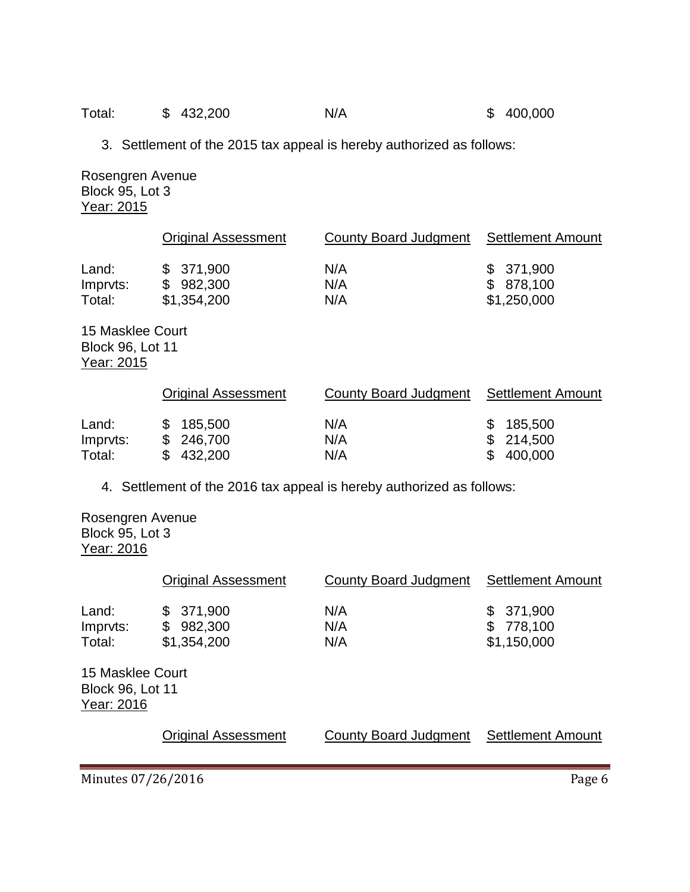| Total:<br>\$432,200<br>N/A | \$400,000 |
|----------------------------|-----------|
|----------------------------|-----------|

3. Settlement of the 2015 tax appeal is hereby authorized as follows:

Rosengren Avenue Block 95, Lot 3 Year: 2015

|          | <b>Original Assessment</b> | County Board Judgment | Settlement Amount |
|----------|----------------------------|-----------------------|-------------------|
| Land:    | \$371,900                  | N/A                   | \$371,900         |
| Imprvts: | \$982,300                  | N/A                   | \$ 878,100        |
| Total:   | \$1,354,200                | N/A                   | \$1,250,000       |

15 Masklee Court Block 96, Lot 11 Year: 2015

|                   | <b>Original Assessment</b> | County Board Judgment Settlement Amount |                        |
|-------------------|----------------------------|-----------------------------------------|------------------------|
| Land:<br>Imprvts: | \$185,500<br>\$ 246,700    | N/A<br>N/A                              | \$185,500<br>\$214,500 |
| Total:            | \$432,200                  | N/A                                     | \$400,000              |

4. Settlement of the 2016 tax appeal is hereby authorized as follows:

Rosengren Avenue Block 95, Lot 3 Year: 2016

|                                                           | <b>Original Assessment</b>                    | County Board Judgment | <b>Settlement Amount</b>                      |
|-----------------------------------------------------------|-----------------------------------------------|-----------------------|-----------------------------------------------|
| Land:<br>Imprvts:<br>Total:                               | 371,900<br>\$<br>982,300<br>\$<br>\$1,354,200 | N/A<br>N/A<br>N/A     | 371,900<br>\$<br>778,100<br>\$<br>\$1,150,000 |
| 15 Masklee Court<br><b>Block 96, Lot 11</b><br>Year: 2016 |                                               |                       |                                               |
|                                                           | <b>Original Assessment</b>                    | County Board Judgment | <b>Settlement Amount</b>                      |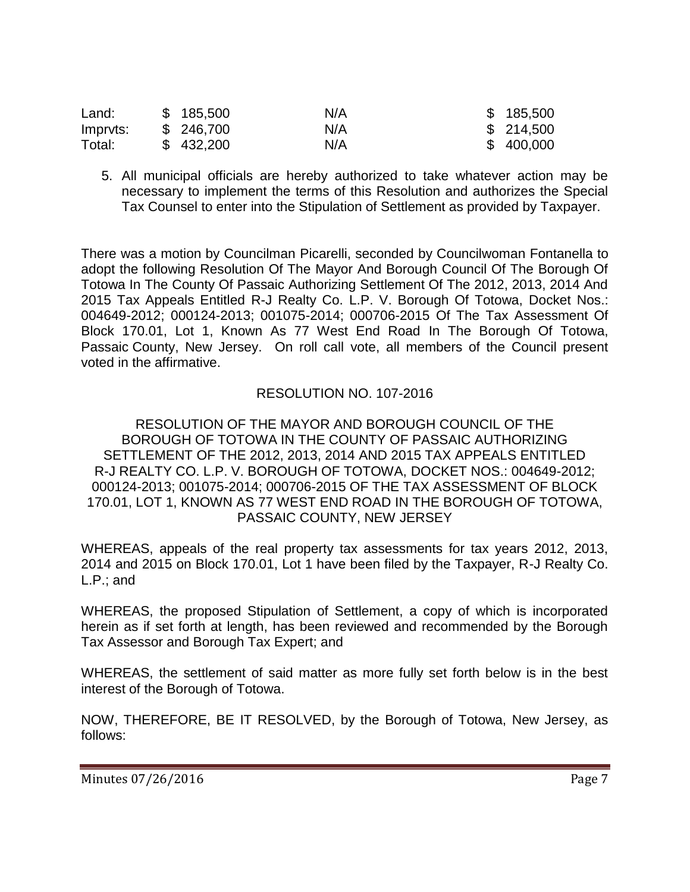| Land:    | \$185,500  | N/A | \$185,500  |
|----------|------------|-----|------------|
| Impryts: | \$ 246,700 | N/A | \$ 214,500 |
| Total:   | \$432,200  | N/A | \$400,000  |

5. All municipal officials are hereby authorized to take whatever action may be necessary to implement the terms of this Resolution and authorizes the Special Tax Counsel to enter into the Stipulation of Settlement as provided by Taxpayer.

There was a motion by Councilman Picarelli, seconded by Councilwoman Fontanella to adopt the following Resolution Of The Mayor And Borough Council Of The Borough Of Totowa In The County Of Passaic Authorizing Settlement Of The 2012, 2013, 2014 And 2015 Tax Appeals Entitled R-J Realty Co. L.P. V. Borough Of Totowa, Docket Nos.: 004649-2012; 000124-2013; 001075-2014; 000706-2015 Of The Tax Assessment Of Block 170.01, Lot 1, Known As 77 West End Road In The Borough Of Totowa, Passaic County, New Jersey. On roll call vote, all members of the Council present voted in the affirmative.

# RESOLUTION NO. 107-2016

RESOLUTION OF THE MAYOR AND BOROUGH COUNCIL OF THE BOROUGH OF TOTOWA IN THE COUNTY OF PASSAIC AUTHORIZING SETTLEMENT OF THE 2012, 2013, 2014 AND 2015 TAX APPEALS ENTITLED R-J REALTY CO. L.P. V. BOROUGH OF TOTOWA, DOCKET NOS.: 004649-2012; 000124-2013; 001075-2014; 000706-2015 OF THE TAX ASSESSMENT OF BLOCK 170.01, LOT 1, KNOWN AS 77 WEST END ROAD IN THE BOROUGH OF TOTOWA, PASSAIC COUNTY, NEW JERSEY

WHEREAS, appeals of the real property tax assessments for tax years 2012, 2013, 2014 and 2015 on Block 170.01, Lot 1 have been filed by the Taxpayer, R-J Realty Co. L.P.; and

WHEREAS, the proposed Stipulation of Settlement, a copy of which is incorporated herein as if set forth at length, has been reviewed and recommended by the Borough Tax Assessor and Borough Tax Expert; and

WHEREAS, the settlement of said matter as more fully set forth below is in the best interest of the Borough of Totowa.

NOW, THEREFORE, BE IT RESOLVED, by the Borough of Totowa, New Jersey, as follows: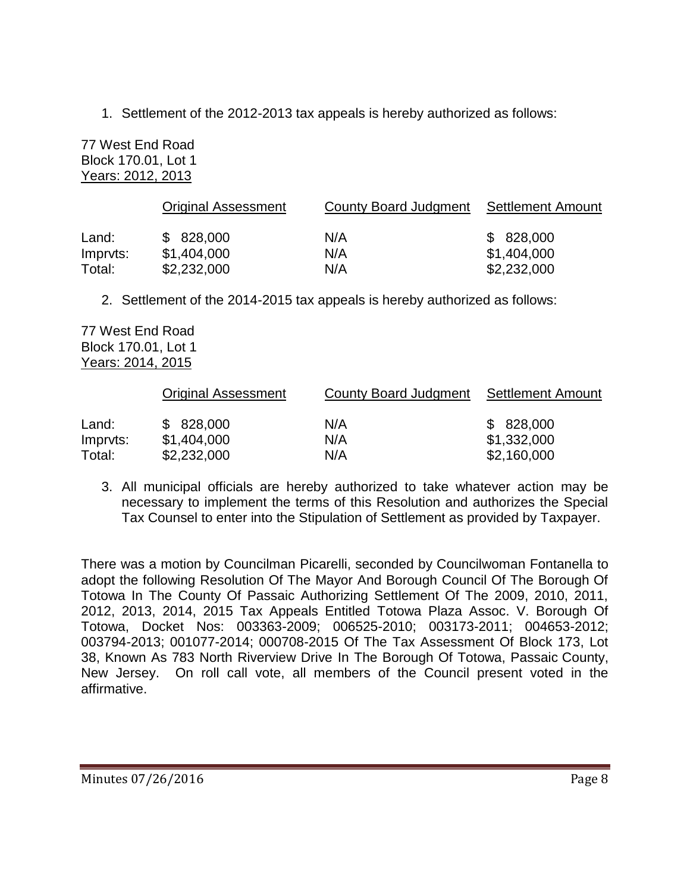1. Settlement of the 2012-2013 tax appeals is hereby authorized as follows:

77 West End Road Block 170.01, Lot 1 Years: 2012, 2013

|                    | <b>Original Assessment</b> | County Board Judgment | Settlement Amount          |
|--------------------|----------------------------|-----------------------|----------------------------|
| Land:              | \$828,000                  | N/A                   | \$828,000                  |
| Impryts:<br>Total: | \$1,404,000<br>\$2,232,000 | N/A<br>N/A            | \$1,404,000<br>\$2,232,000 |
|                    |                            |                       |                            |

2. Settlement of the 2014-2015 tax appeals is hereby authorized as follows:

77 West End Road Block 170.01, Lot 1 Years: 2014, 2015

|          | <b>Original Assessment</b> | County Board Judgment | Settlement Amount |
|----------|----------------------------|-----------------------|-------------------|
| Land:    | \$828,000                  | N/A                   | \$828,000         |
| Impryts: | \$1,404,000                | N/A                   | \$1,332,000       |
| Total:   | \$2,232,000                | N/A                   | \$2,160,000       |

3. All municipal officials are hereby authorized to take whatever action may be necessary to implement the terms of this Resolution and authorizes the Special Tax Counsel to enter into the Stipulation of Settlement as provided by Taxpayer.

There was a motion by Councilman Picarelli, seconded by Councilwoman Fontanella to adopt the following Resolution Of The Mayor And Borough Council Of The Borough Of Totowa In The County Of Passaic Authorizing Settlement Of The 2009, 2010, 2011, 2012, 2013, 2014, 2015 Tax Appeals Entitled Totowa Plaza Assoc. V. Borough Of Totowa, Docket Nos: 003363-2009; 006525-2010; 003173-2011; 004653-2012; 003794-2013; 001077-2014; 000708-2015 Of The Tax Assessment Of Block 173, Lot 38, Known As 783 North Riverview Drive In The Borough Of Totowa, Passaic County, New Jersey. On roll call vote, all members of the Council present voted in the affirmative.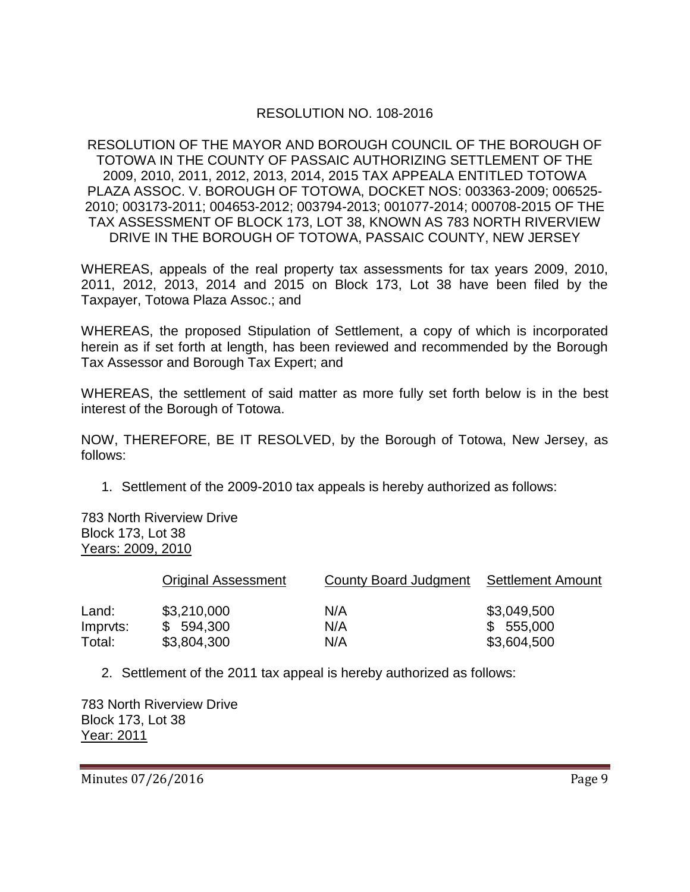# RESOLUTION NO. 108-2016

RESOLUTION OF THE MAYOR AND BOROUGH COUNCIL OF THE BOROUGH OF TOTOWA IN THE COUNTY OF PASSAIC AUTHORIZING SETTLEMENT OF THE 2009, 2010, 2011, 2012, 2013, 2014, 2015 TAX APPEALA ENTITLED TOTOWA PLAZA ASSOC. V. BOROUGH OF TOTOWA, DOCKET NOS: 003363-2009; 006525- 2010; 003173-2011; 004653-2012; 003794-2013; 001077-2014; 000708-2015 OF THE TAX ASSESSMENT OF BLOCK 173, LOT 38, KNOWN AS 783 NORTH RIVERVIEW DRIVE IN THE BOROUGH OF TOTOWA, PASSAIC COUNTY, NEW JERSEY

WHEREAS, appeals of the real property tax assessments for tax years 2009, 2010, 2011, 2012, 2013, 2014 and 2015 on Block 173, Lot 38 have been filed by the Taxpayer, Totowa Plaza Assoc.; and

WHEREAS, the proposed Stipulation of Settlement, a copy of which is incorporated herein as if set forth at length, has been reviewed and recommended by the Borough Tax Assessor and Borough Tax Expert; and

WHEREAS, the settlement of said matter as more fully set forth below is in the best interest of the Borough of Totowa.

NOW, THEREFORE, BE IT RESOLVED, by the Borough of Totowa, New Jersey, as follows:

1. Settlement of the 2009-2010 tax appeals is hereby authorized as follows:

783 North Riverview Drive Block 173, Lot 38 Years: 2009, 2010

|          | <b>Original Assessment</b> | County Board Judgment | <b>Settlement Amount</b> |
|----------|----------------------------|-----------------------|--------------------------|
| Land:    | \$3,210,000                | N/A                   | \$3,049,500              |
| Impryts: | \$594,300                  | N/A                   | \$555,000                |
| Total:   | \$3,804,300                | N/A                   | \$3,604,500              |

2. Settlement of the 2011 tax appeal is hereby authorized as follows:

783 North Riverview Drive Block 173, Lot 38 Year: 2011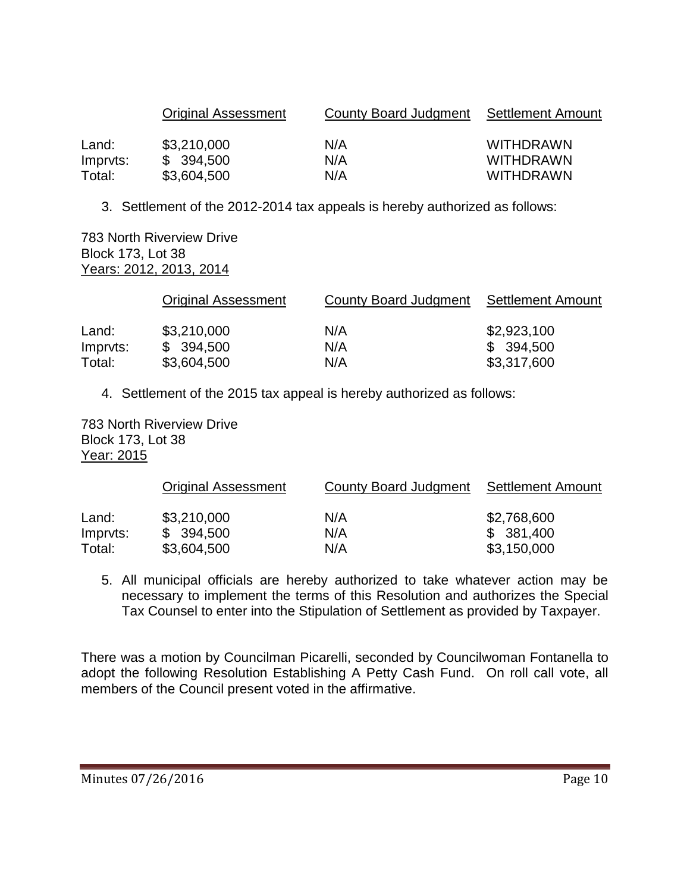|          | <b>Original Assessment</b> | County Board Judgment Settlement Amount |                  |
|----------|----------------------------|-----------------------------------------|------------------|
| Land:    | \$3,210,000                | N/A                                     | <b>WITHDRAWN</b> |
| Impryts: | \$394,500                  | N/A                                     | <b>WITHDRAWN</b> |
| Total:   | \$3,604,500                | N/A                                     | <b>WITHDRAWN</b> |

3. Settlement of the 2012-2014 tax appeals is hereby authorized as follows:

783 North Riverview Drive Block 173, Lot 38 Years: 2012, 2013, 2014

|          | <b>Original Assessment</b> | County Board Judgment | Settlement Amount |
|----------|----------------------------|-----------------------|-------------------|
| Land:    | \$3,210,000                | N/A                   | \$2,923,100       |
| Impryts: | \$394,500                  | N/A                   | \$394,500         |
| Total:   | \$3,604,500                | N/A                   | \$3,317,600       |

4. Settlement of the 2015 tax appeal is hereby authorized as follows:

783 North Riverview Drive Block 173, Lot 38 Year: 2015

|          | <b>Original Assessment</b> | County Board Judgment | Settlement Amount |
|----------|----------------------------|-----------------------|-------------------|
| Land:    | \$3,210,000                | N/A                   | \$2,768,600       |
| Impryts: | \$394,500                  | N/A                   | \$381,400         |
| Total:   | \$3,604,500                | N/A                   | \$3,150,000       |

5. All municipal officials are hereby authorized to take whatever action may be necessary to implement the terms of this Resolution and authorizes the Special Tax Counsel to enter into the Stipulation of Settlement as provided by Taxpayer.

There was a motion by Councilman Picarelli, seconded by Councilwoman Fontanella to adopt the following Resolution Establishing A Petty Cash Fund. On roll call vote, all members of the Council present voted in the affirmative.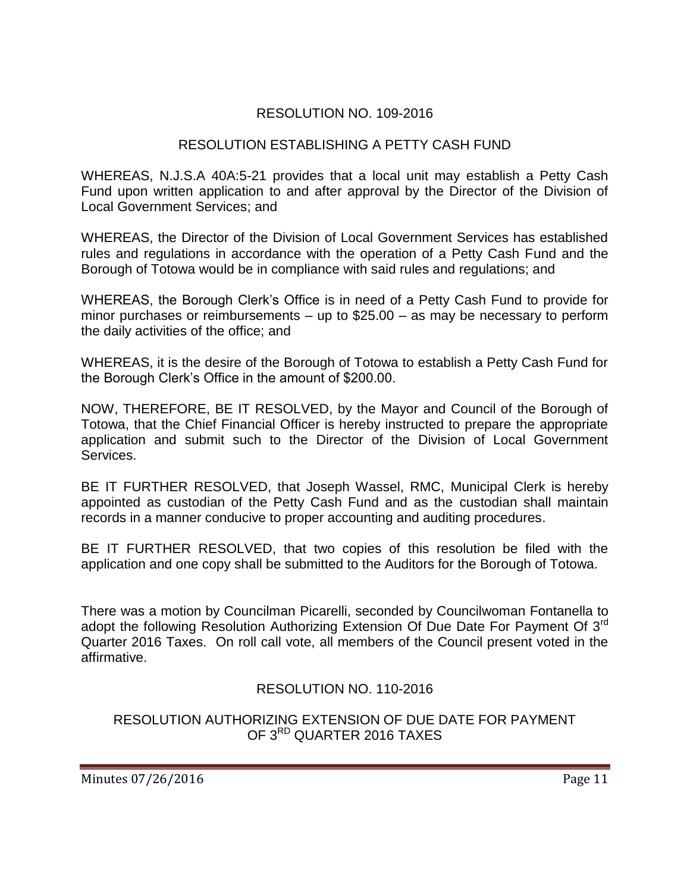# RESOLUTION NO. 109-2016

# RESOLUTION ESTABLISHING A PETTY CASH FUND

WHEREAS, N.J.S.A 40A:5-21 provides that a local unit may establish a Petty Cash Fund upon written application to and after approval by the Director of the Division of Local Government Services; and

WHEREAS, the Director of the Division of Local Government Services has established rules and regulations in accordance with the operation of a Petty Cash Fund and the Borough of Totowa would be in compliance with said rules and regulations; and

WHEREAS, the Borough Clerk's Office is in need of a Petty Cash Fund to provide for minor purchases or reimbursements – up to \$25.00 – as may be necessary to perform the daily activities of the office; and

WHEREAS, it is the desire of the Borough of Totowa to establish a Petty Cash Fund for the Borough Clerk's Office in the amount of \$200.00.

NOW, THEREFORE, BE IT RESOLVED, by the Mayor and Council of the Borough of Totowa, that the Chief Financial Officer is hereby instructed to prepare the appropriate application and submit such to the Director of the Division of Local Government **Services** 

BE IT FURTHER RESOLVED, that Joseph Wassel, RMC, Municipal Clerk is hereby appointed as custodian of the Petty Cash Fund and as the custodian shall maintain records in a manner conducive to proper accounting and auditing procedures.

BE IT FURTHER RESOLVED, that two copies of this resolution be filed with the application and one copy shall be submitted to the Auditors for the Borough of Totowa.

There was a motion by Councilman Picarelli, seconded by Councilwoman Fontanella to adopt the following Resolution Authorizing Extension Of Due Date For Payment Of 3<sup>rd</sup> Quarter 2016 Taxes. On roll call vote, all members of the Council present voted in the affirmative.

# RESOLUTION NO. 110-2016

## RESOLUTION AUTHORIZING EXTENSION OF DUE DATE FOR PAYMENT OF 3<sup>RD</sup> QUARTER 2016 TAXES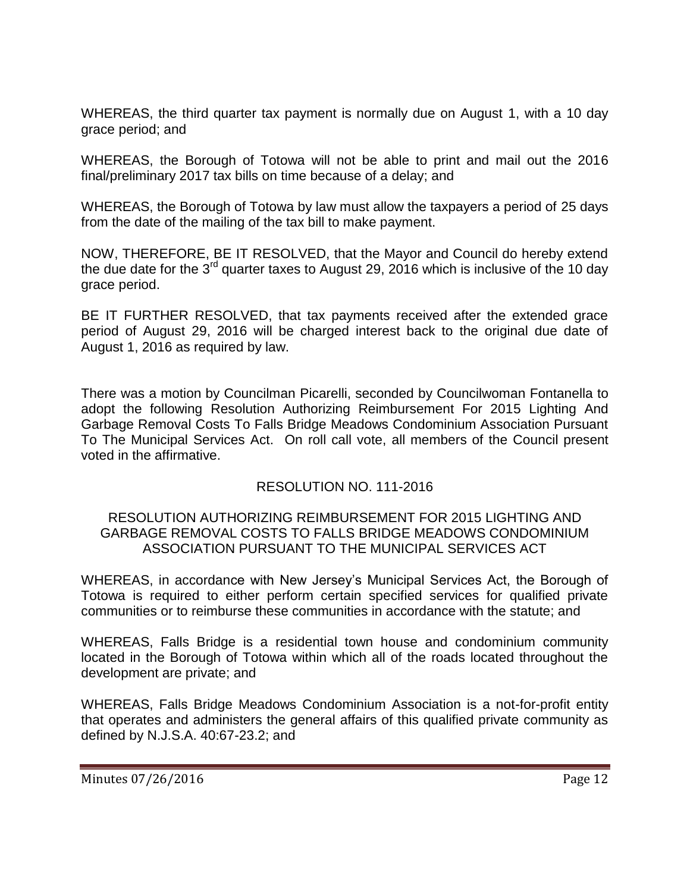WHEREAS, the third quarter tax payment is normally due on August 1, with a 10 day grace period; and

WHEREAS, the Borough of Totowa will not be able to print and mail out the 2016 final/preliminary 2017 tax bills on time because of a delay; and

WHEREAS, the Borough of Totowa by law must allow the taxpayers a period of 25 days from the date of the mailing of the tax bill to make payment.

NOW, THEREFORE, BE IT RESOLVED, that the Mayor and Council do hereby extend the due date for the  $3<sup>rd</sup>$  quarter taxes to August 29, 2016 which is inclusive of the 10 day grace period.

BE IT FURTHER RESOLVED, that tax payments received after the extended grace period of August 29, 2016 will be charged interest back to the original due date of August 1, 2016 as required by law.

There was a motion by Councilman Picarelli, seconded by Councilwoman Fontanella to adopt the following Resolution Authorizing Reimbursement For 2015 Lighting And Garbage Removal Costs To Falls Bridge Meadows Condominium Association Pursuant To The Municipal Services Act. On roll call vote, all members of the Council present voted in the affirmative.

# RESOLUTION NO. 111-2016

#### RESOLUTION AUTHORIZING REIMBURSEMENT FOR 2015 LIGHTING AND GARBAGE REMOVAL COSTS TO FALLS BRIDGE MEADOWS CONDOMINIUM ASSOCIATION PURSUANT TO THE MUNICIPAL SERVICES ACT

WHEREAS, in accordance with New Jersey's Municipal Services Act, the Borough of Totowa is required to either perform certain specified services for qualified private communities or to reimburse these communities in accordance with the statute; and

WHEREAS, Falls Bridge is a residential town house and condominium community located in the Borough of Totowa within which all of the roads located throughout the development are private; and

WHEREAS, Falls Bridge Meadows Condominium Association is a not-for-profit entity that operates and administers the general affairs of this qualified private community as defined by N.J.S.A. 40:67-23.2; and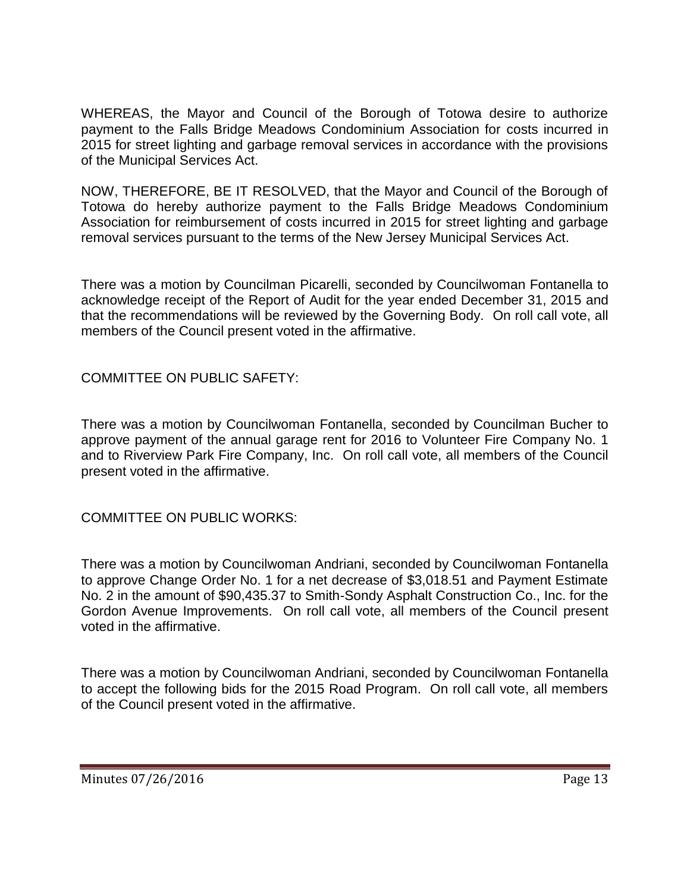WHEREAS, the Mayor and Council of the Borough of Totowa desire to authorize payment to the Falls Bridge Meadows Condominium Association for costs incurred in 2015 for street lighting and garbage removal services in accordance with the provisions of the Municipal Services Act.

NOW, THEREFORE, BE IT RESOLVED, that the Mayor and Council of the Borough of Totowa do hereby authorize payment to the Falls Bridge Meadows Condominium Association for reimbursement of costs incurred in 2015 for street lighting and garbage removal services pursuant to the terms of the New Jersey Municipal Services Act.

There was a motion by Councilman Picarelli, seconded by Councilwoman Fontanella to acknowledge receipt of the Report of Audit for the year ended December 31, 2015 and that the recommendations will be reviewed by the Governing Body. On roll call vote, all members of the Council present voted in the affirmative.

COMMITTEE ON PUBLIC SAFETY:

There was a motion by Councilwoman Fontanella, seconded by Councilman Bucher to approve payment of the annual garage rent for 2016 to Volunteer Fire Company No. 1 and to Riverview Park Fire Company, Inc. On roll call vote, all members of the Council present voted in the affirmative.

COMMITTEE ON PUBLIC WORKS:

There was a motion by Councilwoman Andriani, seconded by Councilwoman Fontanella to approve Change Order No. 1 for a net decrease of \$3,018.51 and Payment Estimate No. 2 in the amount of \$90,435.37 to Smith-Sondy Asphalt Construction Co., Inc. for the Gordon Avenue Improvements. On roll call vote, all members of the Council present voted in the affirmative.

There was a motion by Councilwoman Andriani, seconded by Councilwoman Fontanella to accept the following bids for the 2015 Road Program. On roll call vote, all members of the Council present voted in the affirmative.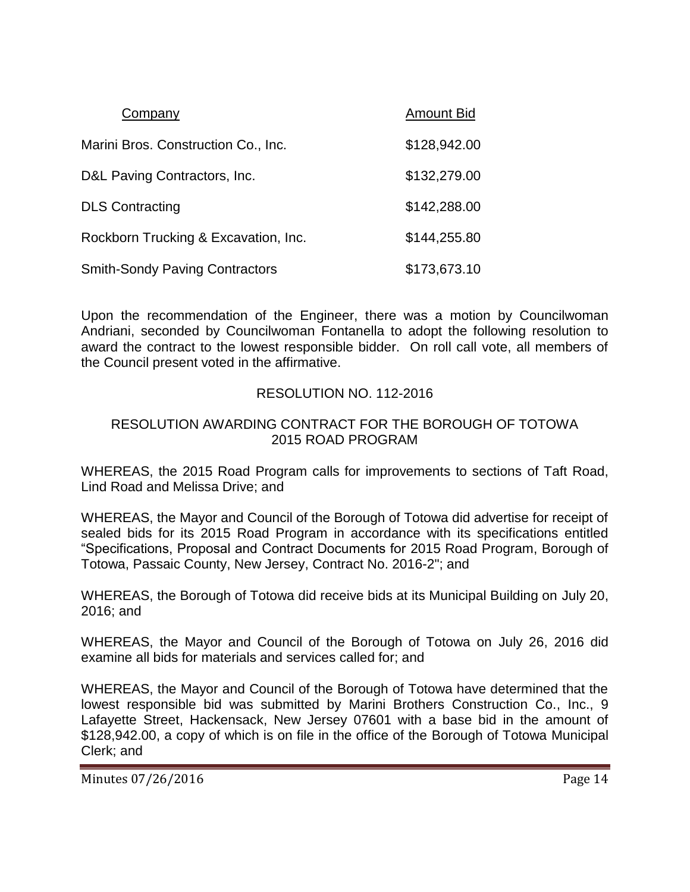| Company                               | <b>Amount Bid</b> |
|---------------------------------------|-------------------|
| Marini Bros. Construction Co., Inc.   | \$128,942.00      |
| D&L Paving Contractors, Inc.          | \$132,279.00      |
| <b>DLS Contracting</b>                | \$142,288.00      |
| Rockborn Trucking & Excavation, Inc.  | \$144,255.80      |
| <b>Smith-Sondy Paving Contractors</b> | \$173,673.10      |

Upon the recommendation of the Engineer, there was a motion by Councilwoman Andriani, seconded by Councilwoman Fontanella to adopt the following resolution to award the contract to the lowest responsible bidder. On roll call vote, all members of the Council present voted in the affirmative.

# RESOLUTION NO. 112-2016

## RESOLUTION AWARDING CONTRACT FOR THE BOROUGH OF TOTOWA 2015 ROAD PROGRAM

WHEREAS, the 2015 Road Program calls for improvements to sections of Taft Road, Lind Road and Melissa Drive; and

WHEREAS, the Mayor and Council of the Borough of Totowa did advertise for receipt of sealed bids for its 2015 Road Program in accordance with its specifications entitled "Specifications, Proposal and Contract Documents for 2015 Road Program, Borough of Totowa, Passaic County, New Jersey, Contract No. 2016-2"; and

WHEREAS, the Borough of Totowa did receive bids at its Municipal Building on July 20, 2016; and

WHEREAS, the Mayor and Council of the Borough of Totowa on July 26, 2016 did examine all bids for materials and services called for; and

WHEREAS, the Mayor and Council of the Borough of Totowa have determined that the lowest responsible bid was submitted by Marini Brothers Construction Co., Inc., 9 Lafayette Street, Hackensack, New Jersey 07601 with a base bid in the amount of \$128,942.00, a copy of which is on file in the office of the Borough of Totowa Municipal Clerk; and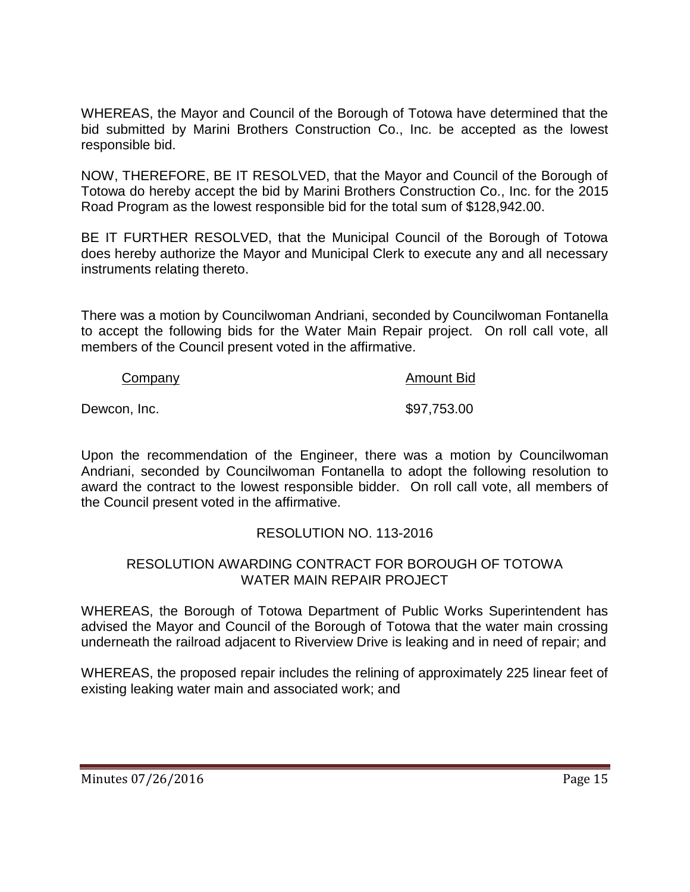WHEREAS, the Mayor and Council of the Borough of Totowa have determined that the bid submitted by Marini Brothers Construction Co., Inc. be accepted as the lowest responsible bid.

NOW, THEREFORE, BE IT RESOLVED, that the Mayor and Council of the Borough of Totowa do hereby accept the bid by Marini Brothers Construction Co., Inc. for the 2015 Road Program as the lowest responsible bid for the total sum of \$128,942.00.

BE IT FURTHER RESOLVED, that the Municipal Council of the Borough of Totowa does hereby authorize the Mayor and Municipal Clerk to execute any and all necessary instruments relating thereto.

There was a motion by Councilwoman Andriani, seconded by Councilwoman Fontanella to accept the following bids for the Water Main Repair project. On roll call vote, all members of the Council present voted in the affirmative.

#### Company **Amount Bid**

Dewcon, Inc. 697,753.00

Upon the recommendation of the Engineer, there was a motion by Councilwoman Andriani, seconded by Councilwoman Fontanella to adopt the following resolution to award the contract to the lowest responsible bidder. On roll call vote, all members of the Council present voted in the affirmative.

# RESOLUTION NO. 113-2016

## RESOLUTION AWARDING CONTRACT FOR BOROUGH OF TOTOWA WATER MAIN REPAIR PROJECT

WHEREAS, the Borough of Totowa Department of Public Works Superintendent has advised the Mayor and Council of the Borough of Totowa that the water main crossing underneath the railroad adjacent to Riverview Drive is leaking and in need of repair; and

WHEREAS, the proposed repair includes the relining of approximately 225 linear feet of existing leaking water main and associated work; and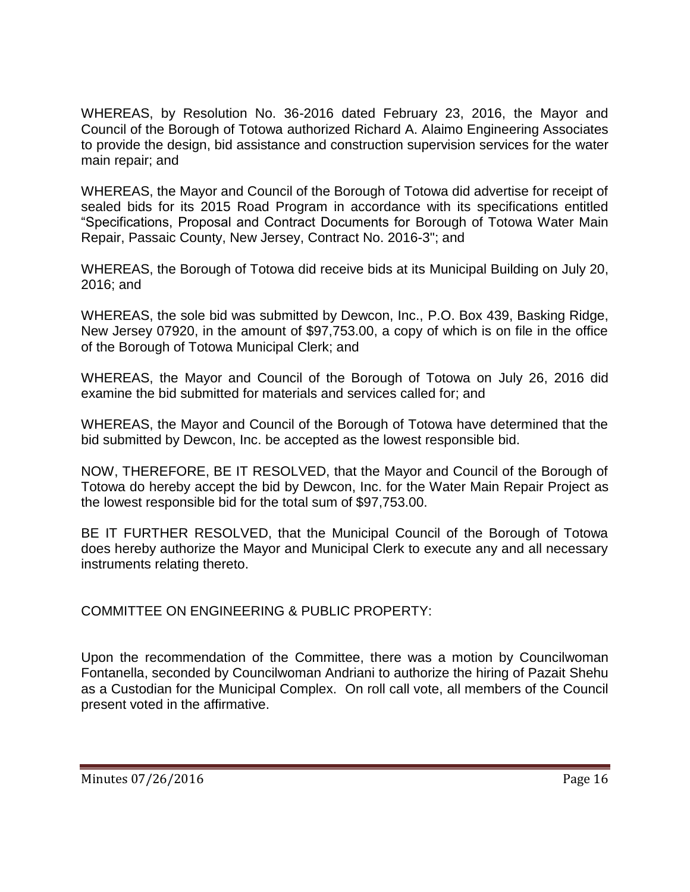WHEREAS, by Resolution No. 36-2016 dated February 23, 2016, the Mayor and Council of the Borough of Totowa authorized Richard A. Alaimo Engineering Associates to provide the design, bid assistance and construction supervision services for the water main repair; and

WHEREAS, the Mayor and Council of the Borough of Totowa did advertise for receipt of sealed bids for its 2015 Road Program in accordance with its specifications entitled "Specifications, Proposal and Contract Documents for Borough of Totowa Water Main Repair, Passaic County, New Jersey, Contract No. 2016-3"; and

WHEREAS, the Borough of Totowa did receive bids at its Municipal Building on July 20, 2016; and

WHEREAS, the sole bid was submitted by Dewcon, Inc., P.O. Box 439, Basking Ridge, New Jersey 07920, in the amount of \$97,753.00, a copy of which is on file in the office of the Borough of Totowa Municipal Clerk; and

WHEREAS, the Mayor and Council of the Borough of Totowa on July 26, 2016 did examine the bid submitted for materials and services called for; and

WHEREAS, the Mayor and Council of the Borough of Totowa have determined that the bid submitted by Dewcon, Inc. be accepted as the lowest responsible bid.

NOW, THEREFORE, BE IT RESOLVED, that the Mayor and Council of the Borough of Totowa do hereby accept the bid by Dewcon, Inc. for the Water Main Repair Project as the lowest responsible bid for the total sum of \$97,753.00.

BE IT FURTHER RESOLVED, that the Municipal Council of the Borough of Totowa does hereby authorize the Mayor and Municipal Clerk to execute any and all necessary instruments relating thereto.

COMMITTEE ON ENGINEERING & PUBLIC PROPERTY:

Upon the recommendation of the Committee, there was a motion by Councilwoman Fontanella, seconded by Councilwoman Andriani to authorize the hiring of Pazait Shehu as a Custodian for the Municipal Complex. On roll call vote, all members of the Council present voted in the affirmative.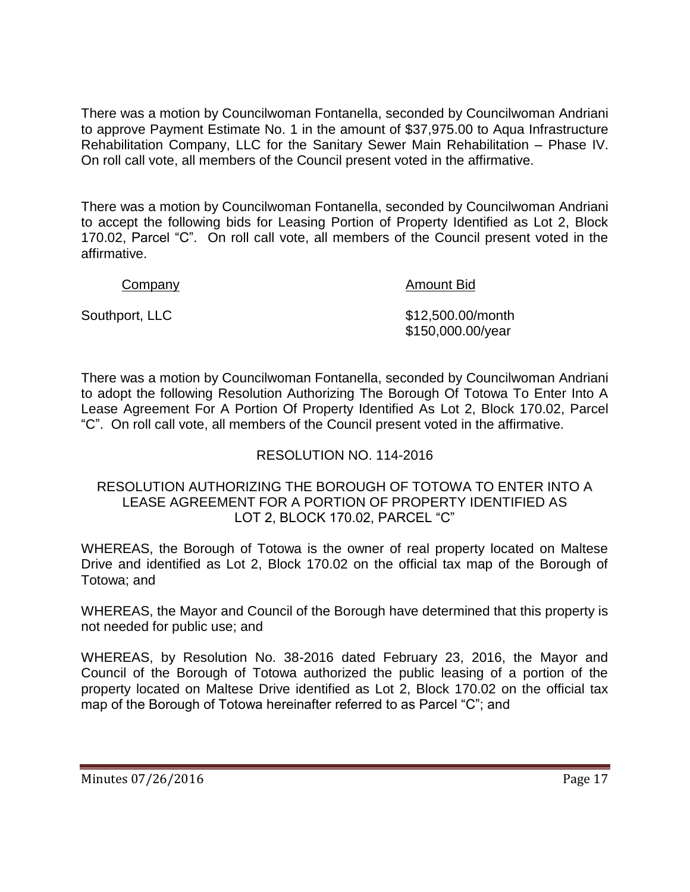There was a motion by Councilwoman Fontanella, seconded by Councilwoman Andriani to approve Payment Estimate No. 1 in the amount of \$37,975.00 to Aqua Infrastructure Rehabilitation Company, LLC for the Sanitary Sewer Main Rehabilitation – Phase IV. On roll call vote, all members of the Council present voted in the affirmative.

There was a motion by Councilwoman Fontanella, seconded by Councilwoman Andriani to accept the following bids for Leasing Portion of Property Identified as Lot 2, Block 170.02, Parcel "C". On roll call vote, all members of the Council present voted in the affirmative.

Company **Amount Bid Amount Bid** 

Southport, LLC \$12,500.00/month \$150,000.00/year

There was a motion by Councilwoman Fontanella, seconded by Councilwoman Andriani to adopt the following Resolution Authorizing The Borough Of Totowa To Enter Into A Lease Agreement For A Portion Of Property Identified As Lot 2, Block 170.02, Parcel "C". On roll call vote, all members of the Council present voted in the affirmative.

# RESOLUTION NO. 114-2016

#### RESOLUTION AUTHORIZING THE BOROUGH OF TOTOWA TO ENTER INTO A LEASE AGREEMENT FOR A PORTION OF PROPERTY IDENTIFIED AS LOT 2, BLOCK 170.02, PARCEL "C"

WHEREAS, the Borough of Totowa is the owner of real property located on Maltese Drive and identified as Lot 2, Block 170.02 on the official tax map of the Borough of Totowa; and

WHEREAS, the Mayor and Council of the Borough have determined that this property is not needed for public use; and

WHEREAS, by Resolution No. 38-2016 dated February 23, 2016, the Mayor and Council of the Borough of Totowa authorized the public leasing of a portion of the property located on Maltese Drive identified as Lot 2, Block 170.02 on the official tax map of the Borough of Totowa hereinafter referred to as Parcel "C"; and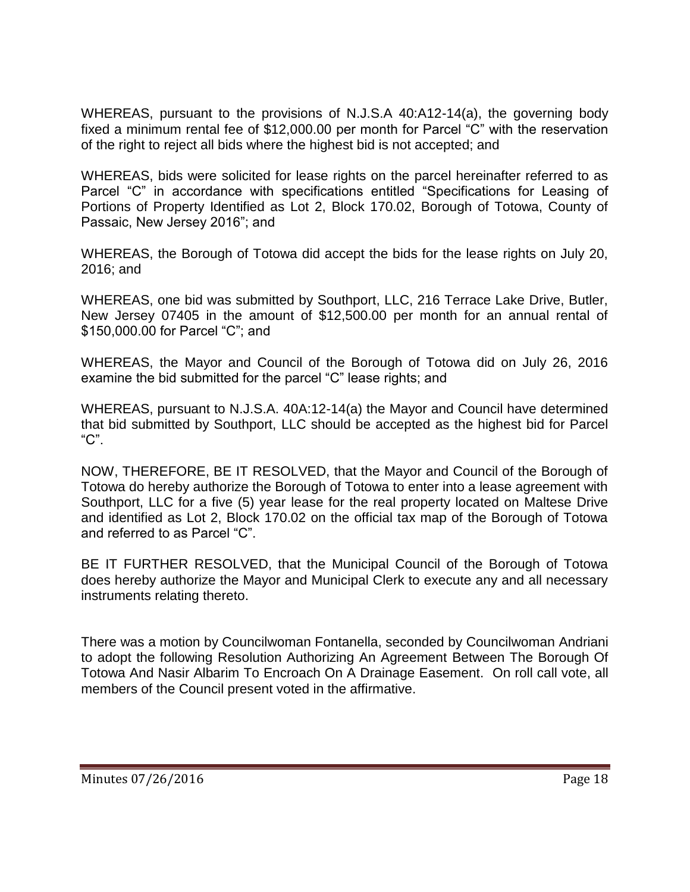WHEREAS, pursuant to the provisions of N.J.S.A 40:A12-14(a), the governing body fixed a minimum rental fee of \$12,000.00 per month for Parcel "C" with the reservation of the right to reject all bids where the highest bid is not accepted; and

WHEREAS, bids were solicited for lease rights on the parcel hereinafter referred to as Parcel "C" in accordance with specifications entitled "Specifications for Leasing of Portions of Property Identified as Lot 2, Block 170.02, Borough of Totowa, County of Passaic, New Jersey 2016"; and

WHEREAS, the Borough of Totowa did accept the bids for the lease rights on July 20, 2016; and

WHEREAS, one bid was submitted by Southport, LLC, 216 Terrace Lake Drive, Butler, New Jersey 07405 in the amount of \$12,500.00 per month for an annual rental of \$150,000.00 for Parcel "C"; and

WHEREAS, the Mayor and Council of the Borough of Totowa did on July 26, 2016 examine the bid submitted for the parcel "C" lease rights; and

WHEREAS, pursuant to N.J.S.A. 40A:12-14(a) the Mayor and Council have determined that bid submitted by Southport, LLC should be accepted as the highest bid for Parcel "C".

NOW, THEREFORE, BE IT RESOLVED, that the Mayor and Council of the Borough of Totowa do hereby authorize the Borough of Totowa to enter into a lease agreement with Southport, LLC for a five (5) year lease for the real property located on Maltese Drive and identified as Lot 2, Block 170.02 on the official tax map of the Borough of Totowa and referred to as Parcel "C".

BE IT FURTHER RESOLVED, that the Municipal Council of the Borough of Totowa does hereby authorize the Mayor and Municipal Clerk to execute any and all necessary instruments relating thereto.

There was a motion by Councilwoman Fontanella, seconded by Councilwoman Andriani to adopt the following Resolution Authorizing An Agreement Between The Borough Of Totowa And Nasir Albarim To Encroach On A Drainage Easement. On roll call vote, all members of the Council present voted in the affirmative.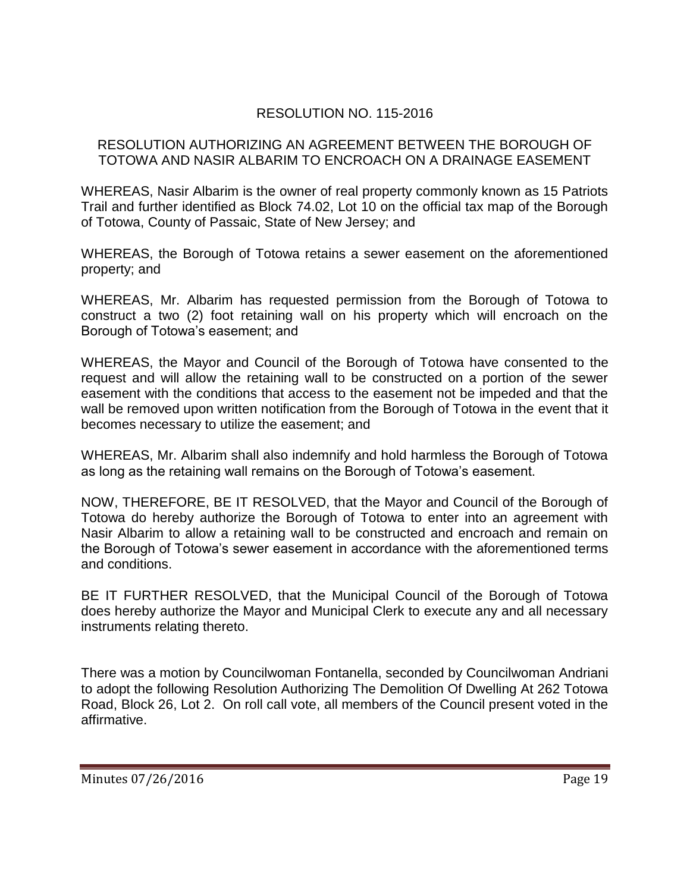# RESOLUTION NO. 115-2016

#### RESOLUTION AUTHORIZING AN AGREEMENT BETWEEN THE BOROUGH OF TOTOWA AND NASIR ALBARIM TO ENCROACH ON A DRAINAGE EASEMENT

WHEREAS, Nasir Albarim is the owner of real property commonly known as 15 Patriots Trail and further identified as Block 74.02, Lot 10 on the official tax map of the Borough of Totowa, County of Passaic, State of New Jersey; and

WHEREAS, the Borough of Totowa retains a sewer easement on the aforementioned property; and

WHEREAS, Mr. Albarim has requested permission from the Borough of Totowa to construct a two (2) foot retaining wall on his property which will encroach on the Borough of Totowa's easement; and

WHEREAS, the Mayor and Council of the Borough of Totowa have consented to the request and will allow the retaining wall to be constructed on a portion of the sewer easement with the conditions that access to the easement not be impeded and that the wall be removed upon written notification from the Borough of Totowa in the event that it becomes necessary to utilize the easement; and

WHEREAS, Mr. Albarim shall also indemnify and hold harmless the Borough of Totowa as long as the retaining wall remains on the Borough of Totowa's easement.

NOW, THEREFORE, BE IT RESOLVED, that the Mayor and Council of the Borough of Totowa do hereby authorize the Borough of Totowa to enter into an agreement with Nasir Albarim to allow a retaining wall to be constructed and encroach and remain on the Borough of Totowa's sewer easement in accordance with the aforementioned terms and conditions.

BE IT FURTHER RESOLVED, that the Municipal Council of the Borough of Totowa does hereby authorize the Mayor and Municipal Clerk to execute any and all necessary instruments relating thereto.

There was a motion by Councilwoman Fontanella, seconded by Councilwoman Andriani to adopt the following Resolution Authorizing The Demolition Of Dwelling At 262 Totowa Road, Block 26, Lot 2. On roll call vote, all members of the Council present voted in the affirmative.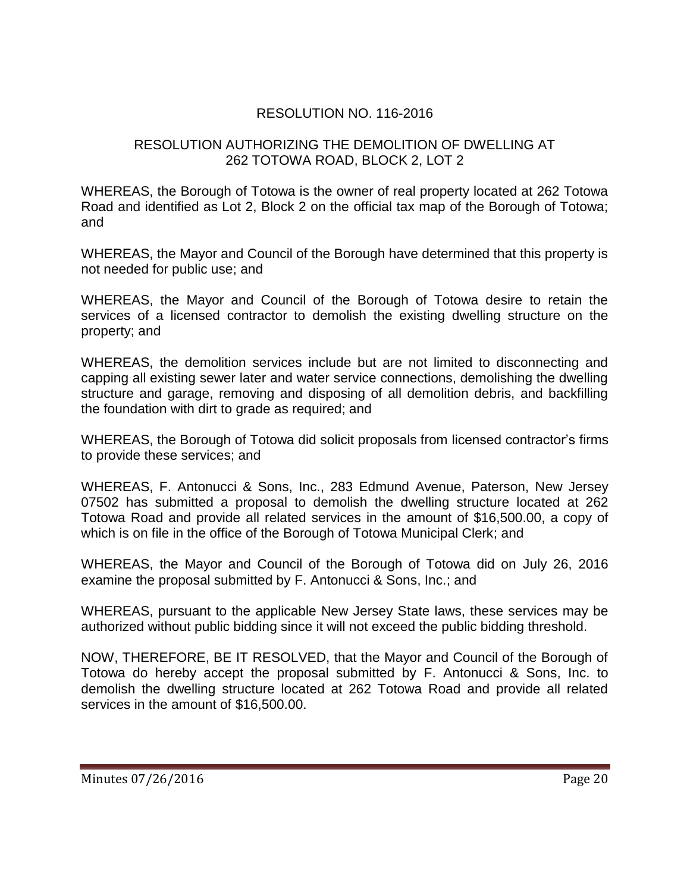# RESOLUTION NO. 116-2016

## RESOLUTION AUTHORIZING THE DEMOLITION OF DWELLING AT 262 TOTOWA ROAD, BLOCK 2, LOT 2

WHEREAS, the Borough of Totowa is the owner of real property located at 262 Totowa Road and identified as Lot 2, Block 2 on the official tax map of the Borough of Totowa; and

WHEREAS, the Mayor and Council of the Borough have determined that this property is not needed for public use; and

WHEREAS, the Mayor and Council of the Borough of Totowa desire to retain the services of a licensed contractor to demolish the existing dwelling structure on the property; and

WHEREAS, the demolition services include but are not limited to disconnecting and capping all existing sewer later and water service connections, demolishing the dwelling structure and garage, removing and disposing of all demolition debris, and backfilling the foundation with dirt to grade as required; and

WHEREAS, the Borough of Totowa did solicit proposals from licensed contractor's firms to provide these services; and

WHEREAS, F. Antonucci & Sons, Inc., 283 Edmund Avenue, Paterson, New Jersey 07502 has submitted a proposal to demolish the dwelling structure located at 262 Totowa Road and provide all related services in the amount of \$16,500.00, a copy of which is on file in the office of the Borough of Totowa Municipal Clerk; and

WHEREAS, the Mayor and Council of the Borough of Totowa did on July 26, 2016 examine the proposal submitted by F. Antonucci & Sons, Inc.; and

WHEREAS, pursuant to the applicable New Jersey State laws, these services may be authorized without public bidding since it will not exceed the public bidding threshold.

NOW, THEREFORE, BE IT RESOLVED, that the Mayor and Council of the Borough of Totowa do hereby accept the proposal submitted by F. Antonucci & Sons, Inc. to demolish the dwelling structure located at 262 Totowa Road and provide all related services in the amount of \$16,500.00.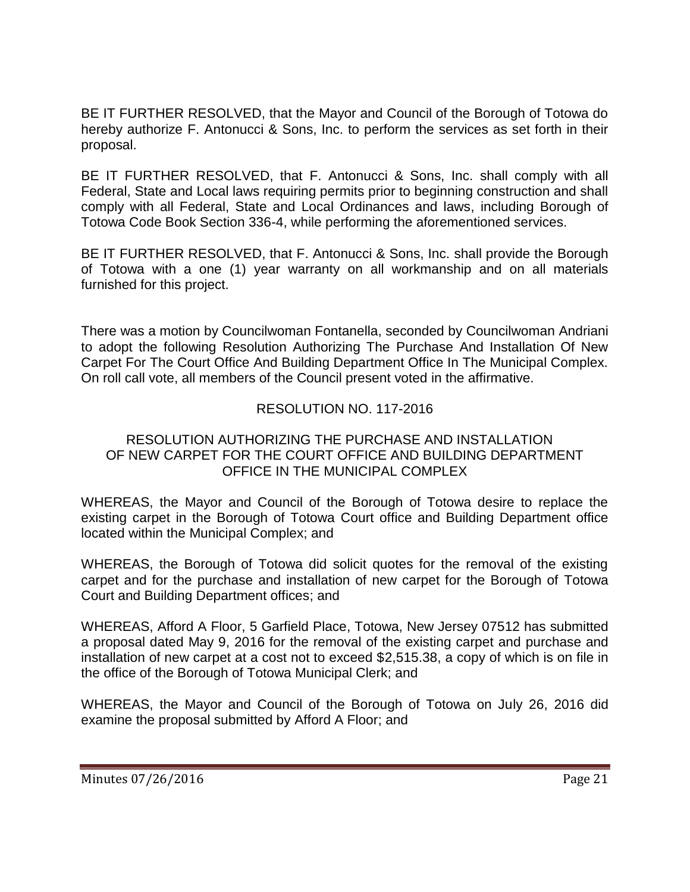BE IT FURTHER RESOLVED, that the Mayor and Council of the Borough of Totowa do hereby authorize F. Antonucci & Sons, Inc. to perform the services as set forth in their proposal.

BE IT FURTHER RESOLVED, that F. Antonucci & Sons, Inc. shall comply with all Federal, State and Local laws requiring permits prior to beginning construction and shall comply with all Federal, State and Local Ordinances and laws, including Borough of Totowa Code Book Section 336-4, while performing the aforementioned services.

BE IT FURTHER RESOLVED, that F. Antonucci & Sons, Inc. shall provide the Borough of Totowa with a one (1) year warranty on all workmanship and on all materials furnished for this project.

There was a motion by Councilwoman Fontanella, seconded by Councilwoman Andriani to adopt the following Resolution Authorizing The Purchase And Installation Of New Carpet For The Court Office And Building Department Office In The Municipal Complex. On roll call vote, all members of the Council present voted in the affirmative.

# RESOLUTION NO. 117-2016

#### RESOLUTION AUTHORIZING THE PURCHASE AND INSTALLATION OF NEW CARPET FOR THE COURT OFFICE AND BUILDING DEPARTMENT OFFICE IN THE MUNICIPAL COMPLEX

WHEREAS, the Mayor and Council of the Borough of Totowa desire to replace the existing carpet in the Borough of Totowa Court office and Building Department office located within the Municipal Complex; and

WHEREAS, the Borough of Totowa did solicit quotes for the removal of the existing carpet and for the purchase and installation of new carpet for the Borough of Totowa Court and Building Department offices; and

WHEREAS, Afford A Floor, 5 Garfield Place, Totowa, New Jersey 07512 has submitted a proposal dated May 9, 2016 for the removal of the existing carpet and purchase and installation of new carpet at a cost not to exceed \$2,515.38, a copy of which is on file in the office of the Borough of Totowa Municipal Clerk; and

WHEREAS, the Mayor and Council of the Borough of Totowa on July 26, 2016 did examine the proposal submitted by Afford A Floor; and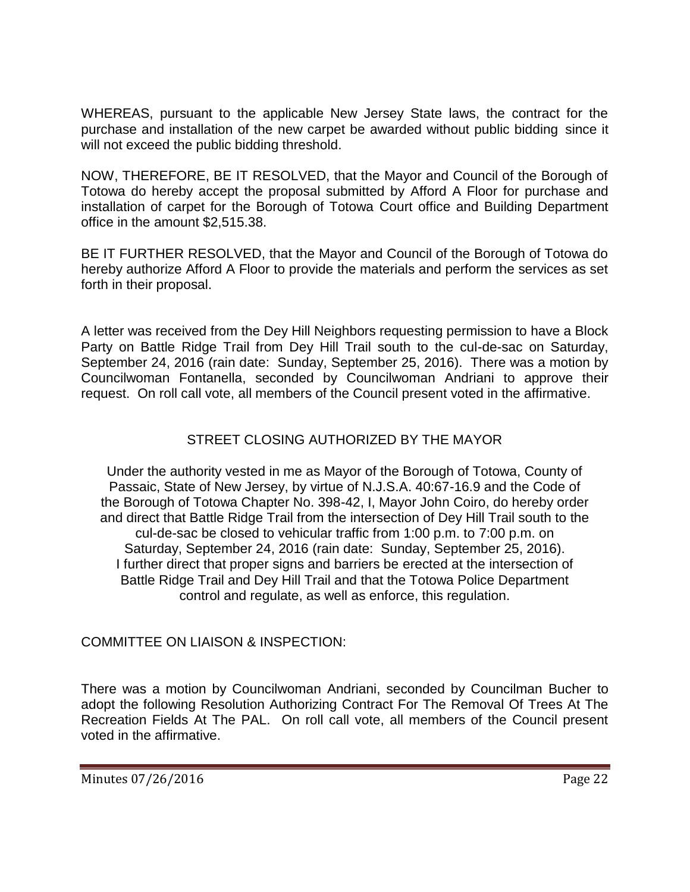WHEREAS, pursuant to the applicable New Jersey State laws, the contract for the purchase and installation of the new carpet be awarded without public bidding since it will not exceed the public bidding threshold.

NOW, THEREFORE, BE IT RESOLVED, that the Mayor and Council of the Borough of Totowa do hereby accept the proposal submitted by Afford A Floor for purchase and installation of carpet for the Borough of Totowa Court office and Building Department office in the amount \$2,515.38.

BE IT FURTHER RESOLVED, that the Mayor and Council of the Borough of Totowa do hereby authorize Afford A Floor to provide the materials and perform the services as set forth in their proposal.

A letter was received from the Dey Hill Neighbors requesting permission to have a Block Party on Battle Ridge Trail from Dey Hill Trail south to the cul-de-sac on Saturday, September 24, 2016 (rain date: Sunday, September 25, 2016). There was a motion by Councilwoman Fontanella, seconded by Councilwoman Andriani to approve their request. On roll call vote, all members of the Council present voted in the affirmative.

# STREET CLOSING AUTHORIZED BY THE MAYOR

Under the authority vested in me as Mayor of the Borough of Totowa, County of Passaic, State of New Jersey, by virtue of N.J.S.A. 40:67-16.9 and the Code of the Borough of Totowa Chapter No. 398-42, I, Mayor John Coiro, do hereby order and direct that Battle Ridge Trail from the intersection of Dey Hill Trail south to the cul-de-sac be closed to vehicular traffic from 1:00 p.m. to 7:00 p.m. on Saturday, September 24, 2016 (rain date: Sunday, September 25, 2016). I further direct that proper signs and barriers be erected at the intersection of Battle Ridge Trail and Dey Hill Trail and that the Totowa Police Department control and regulate, as well as enforce, this regulation.

# COMMITTEE ON LIAISON & INSPECTION:

There was a motion by Councilwoman Andriani, seconded by Councilman Bucher to adopt the following Resolution Authorizing Contract For The Removal Of Trees At The Recreation Fields At The PAL. On roll call vote, all members of the Council present voted in the affirmative.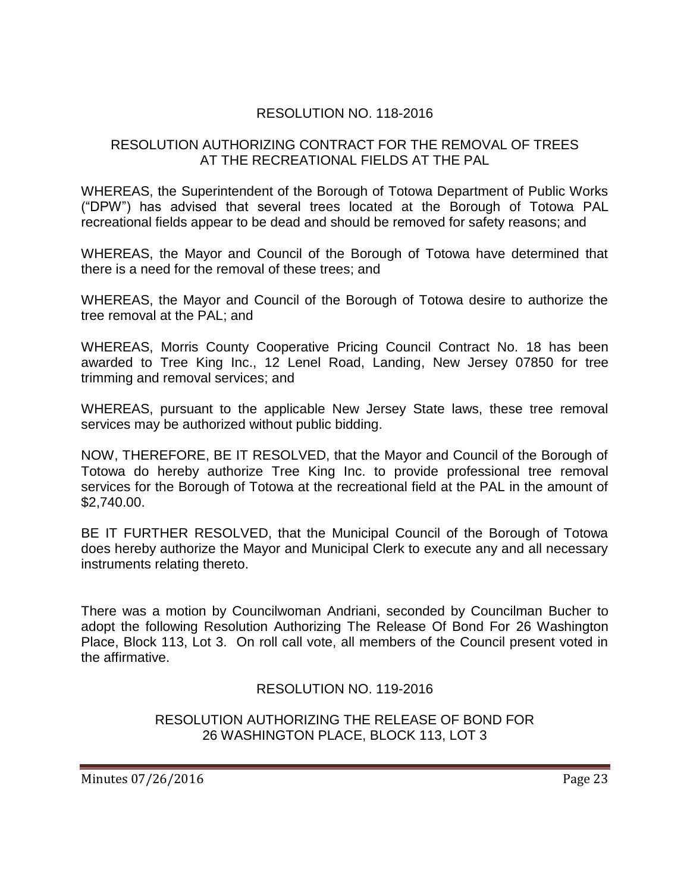# RESOLUTION NO. 118-2016

## RESOLUTION AUTHORIZING CONTRACT FOR THE REMOVAL OF TREES AT THE RECREATIONAL FIELDS AT THE PAL

WHEREAS, the Superintendent of the Borough of Totowa Department of Public Works ("DPW") has advised that several trees located at the Borough of Totowa PAL recreational fields appear to be dead and should be removed for safety reasons; and

WHEREAS, the Mayor and Council of the Borough of Totowa have determined that there is a need for the removal of these trees; and

WHEREAS, the Mayor and Council of the Borough of Totowa desire to authorize the tree removal at the PAL; and

WHEREAS, Morris County Cooperative Pricing Council Contract No. 18 has been awarded to Tree King Inc., 12 Lenel Road, Landing, New Jersey 07850 for tree trimming and removal services; and

WHEREAS, pursuant to the applicable New Jersey State laws, these tree removal services may be authorized without public bidding.

NOW, THEREFORE, BE IT RESOLVED, that the Mayor and Council of the Borough of Totowa do hereby authorize Tree King Inc. to provide professional tree removal services for the Borough of Totowa at the recreational field at the PAL in the amount of \$2,740.00.

BE IT FURTHER RESOLVED, that the Municipal Council of the Borough of Totowa does hereby authorize the Mayor and Municipal Clerk to execute any and all necessary instruments relating thereto.

There was a motion by Councilwoman Andriani, seconded by Councilman Bucher to adopt the following Resolution Authorizing The Release Of Bond For 26 Washington Place, Block 113, Lot 3. On roll call vote, all members of the Council present voted in the affirmative.

RESOLUTION NO. 119-2016

RESOLUTION AUTHORIZING THE RELEASE OF BOND FOR 26 WASHINGTON PLACE, BLOCK 113, LOT 3

Minutes 07/26/2016 **Page 23**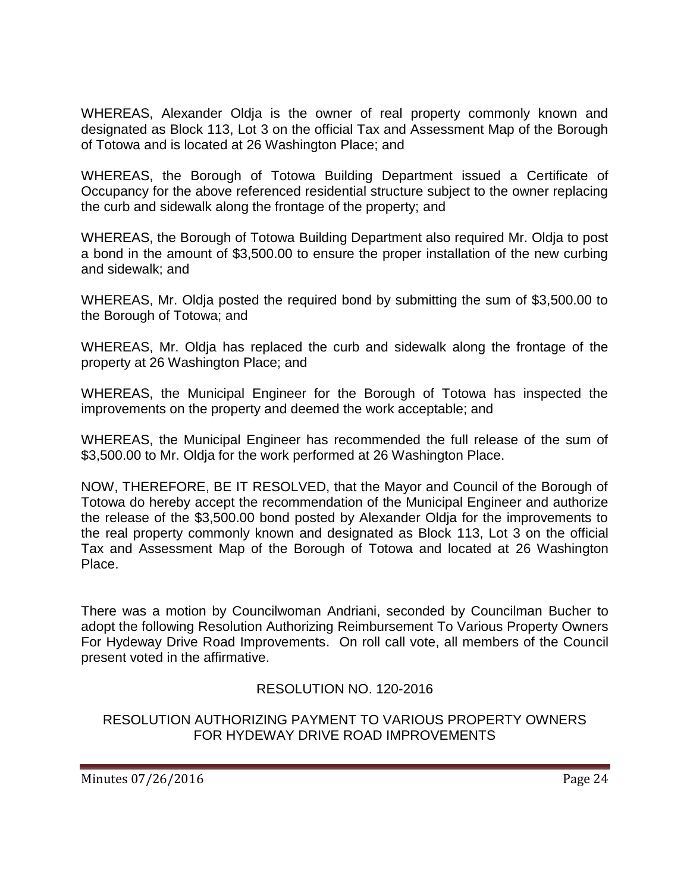WHEREAS, Alexander Oldja is the owner of real property commonly known and designated as Block 113, Lot 3 on the official Tax and Assessment Map of the Borough of Totowa and is located at 26 Washington Place; and

WHEREAS, the Borough of Totowa Building Department issued a Certificate of Occupancy for the above referenced residential structure subject to the owner replacing the curb and sidewalk along the frontage of the property; and

WHEREAS, the Borough of Totowa Building Department also required Mr. Oldja to post a bond in the amount of \$3,500.00 to ensure the proper installation of the new curbing and sidewalk; and

WHEREAS, Mr. Oldja posted the required bond by submitting the sum of \$3,500.00 to the Borough of Totowa; and

WHEREAS, Mr. Oldja has replaced the curb and sidewalk along the frontage of the property at 26 Washington Place; and

WHEREAS, the Municipal Engineer for the Borough of Totowa has inspected the improvements on the property and deemed the work acceptable; and

WHEREAS, the Municipal Engineer has recommended the full release of the sum of \$3,500.00 to Mr. Oldja for the work performed at 26 Washington Place.

NOW, THEREFORE, BE IT RESOLVED, that the Mayor and Council of the Borough of Totowa do hereby accept the recommendation of the Municipal Engineer and authorize the release of the \$3,500.00 bond posted by Alexander Oldja for the improvements to the real property commonly known and designated as Block 113, Lot 3 on the official Tax and Assessment Map of the Borough of Totowa and located at 26 Washington Place.

There was a motion by Councilwoman Andriani, seconded by Councilman Bucher to adopt the following Resolution Authorizing Reimbursement To Various Property Owners For Hydeway Drive Road Improvements. On roll call vote, all members of the Council present voted in the affirmative.

# RESOLUTION NO. 120-2016

## RESOLUTION AUTHORIZING PAYMENT TO VARIOUS PROPERTY OWNERS FOR HYDEWAY DRIVE ROAD IMPROVEMENTS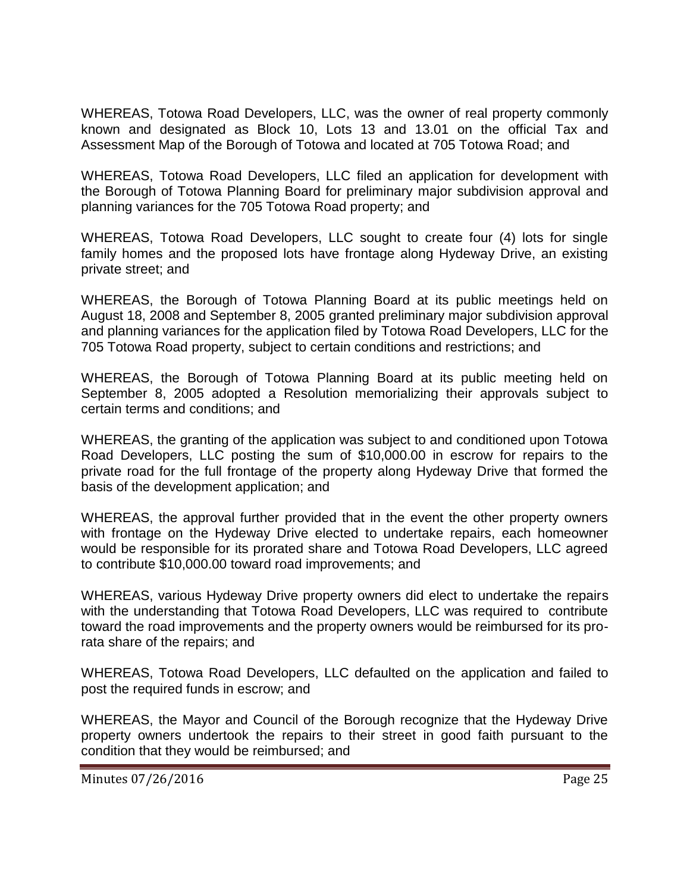WHEREAS, Totowa Road Developers, LLC, was the owner of real property commonly known and designated as Block 10, Lots 13 and 13.01 on the official Tax and Assessment Map of the Borough of Totowa and located at 705 Totowa Road; and

WHEREAS, Totowa Road Developers, LLC filed an application for development with the Borough of Totowa Planning Board for preliminary major subdivision approval and planning variances for the 705 Totowa Road property; and

WHEREAS, Totowa Road Developers, LLC sought to create four (4) lots for single family homes and the proposed lots have frontage along Hydeway Drive, an existing private street; and

WHEREAS, the Borough of Totowa Planning Board at its public meetings held on August 18, 2008 and September 8, 2005 granted preliminary major subdivision approval and planning variances for the application filed by Totowa Road Developers, LLC for the 705 Totowa Road property, subject to certain conditions and restrictions; and

WHEREAS, the Borough of Totowa Planning Board at its public meeting held on September 8, 2005 adopted a Resolution memorializing their approvals subject to certain terms and conditions; and

WHEREAS, the granting of the application was subject to and conditioned upon Totowa Road Developers, LLC posting the sum of \$10,000.00 in escrow for repairs to the private road for the full frontage of the property along Hydeway Drive that formed the basis of the development application; and

WHEREAS, the approval further provided that in the event the other property owners with frontage on the Hydeway Drive elected to undertake repairs, each homeowner would be responsible for its prorated share and Totowa Road Developers, LLC agreed to contribute \$10,000.00 toward road improvements; and

WHEREAS, various Hydeway Drive property owners did elect to undertake the repairs with the understanding that Totowa Road Developers, LLC was required to contribute toward the road improvements and the property owners would be reimbursed for its prorata share of the repairs; and

WHEREAS, Totowa Road Developers, LLC defaulted on the application and failed to post the required funds in escrow; and

WHEREAS, the Mayor and Council of the Borough recognize that the Hydeway Drive property owners undertook the repairs to their street in good faith pursuant to the condition that they would be reimbursed; and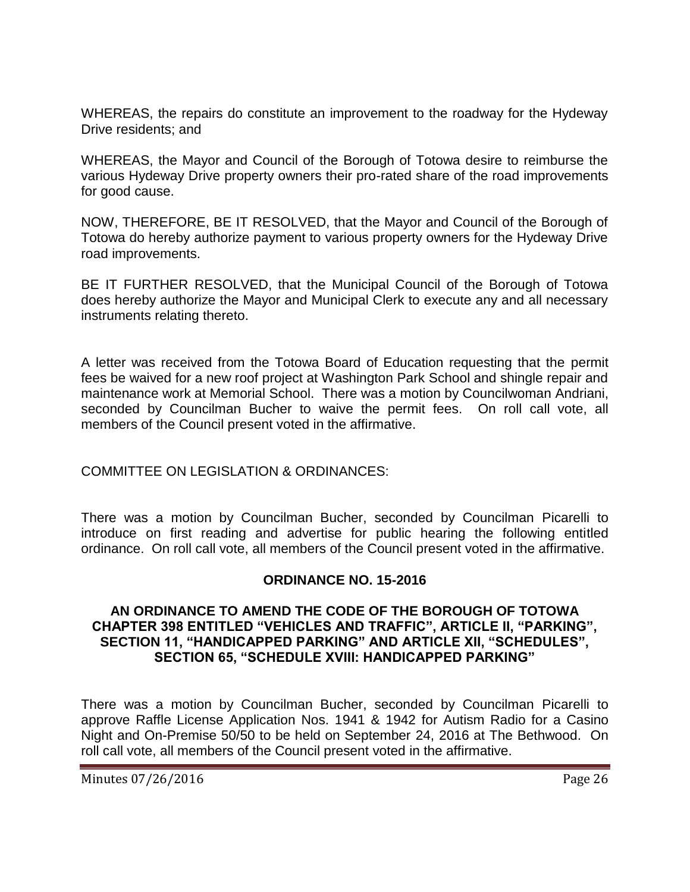WHEREAS, the repairs do constitute an improvement to the roadway for the Hydeway Drive residents; and

WHEREAS, the Mayor and Council of the Borough of Totowa desire to reimburse the various Hydeway Drive property owners their pro-rated share of the road improvements for good cause.

NOW, THEREFORE, BE IT RESOLVED, that the Mayor and Council of the Borough of Totowa do hereby authorize payment to various property owners for the Hydeway Drive road improvements.

BE IT FURTHER RESOLVED, that the Municipal Council of the Borough of Totowa does hereby authorize the Mayor and Municipal Clerk to execute any and all necessary instruments relating thereto.

A letter was received from the Totowa Board of Education requesting that the permit fees be waived for a new roof project at Washington Park School and shingle repair and maintenance work at Memorial School. There was a motion by Councilwoman Andriani, seconded by Councilman Bucher to waive the permit fees. On roll call vote, all members of the Council present voted in the affirmative.

# COMMITTEE ON LEGISLATION & ORDINANCES:

There was a motion by Councilman Bucher, seconded by Councilman Picarelli to introduce on first reading and advertise for public hearing the following entitled ordinance. On roll call vote, all members of the Council present voted in the affirmative.

#### **ORDINANCE NO. 15-2016**

#### **AN ORDINANCE TO AMEND THE CODE OF THE BOROUGH OF TOTOWA CHAPTER 398 ENTITLED "VEHICLES AND TRAFFIC", ARTICLE II, "PARKING", SECTION 11, "HANDICAPPED PARKING" AND ARTICLE XII, "SCHEDULES", SECTION 65, "SCHEDULE XVIII: HANDICAPPED PARKING"**

There was a motion by Councilman Bucher, seconded by Councilman Picarelli to approve Raffle License Application Nos. 1941 & 1942 for Autism Radio for a Casino Night and On-Premise 50/50 to be held on September 24, 2016 at The Bethwood. On roll call vote, all members of the Council present voted in the affirmative.